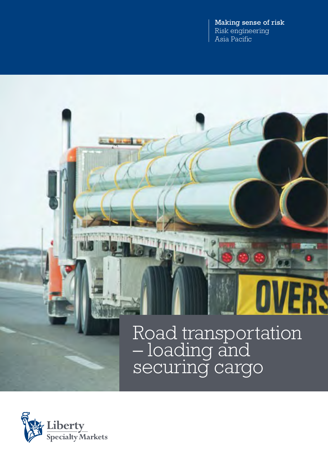Making sense of risk Risk engineering Asia Pacific

# Road transportation – loading and securing cargo

RŚ

 $\mathbf 0$ 

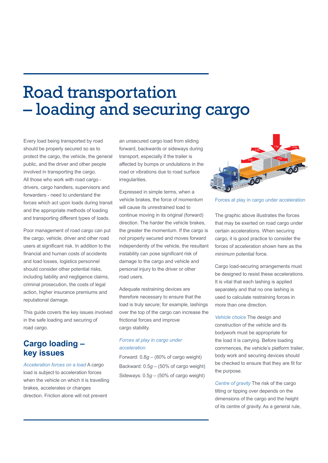# Road transportation – loading and securing cargo

Every load being transported by road should be properly secured so as to protect the cargo, the vehicle, the general public, and the driver and other people involved in transporting the cargo. All those who work with road cargo drivers, cargo handlers, supervisors and forwarders - need to understand the forces which act upon loads during transit and the appropriate methods of loading and transporting different types of loads.

Poor management of road cargo can put the cargo, vehicle, driver and other road users at significant risk. In addition to the financial and human costs of accidents and load losses, logistics personnel should consider other potential risks, including liability and negligence claims, criminal prosecution, the costs of legal action, higher insurance premiums and reputational damage.

This guide covers the key issues involved in the safe loading and securing of road cargo.

## **Cargo loading – key issues**

*Acceleration forces on a load* A cargo load is subject to acceleration forces when the vehicle on which it is travelling brakes, accelerates or changes direction. Friction alone will not prevent

an unsecured cargo load from sliding forward, backwards or sideways during transport, especially if the trailer is affected by bumps or undulations in the road or vibrations due to road surface irregularities.

Expressed in simple terms, when a vehicle brakes, the force of *momentum* will cause its unrestrained load to continue moving in its original (forward) direction. The harder the vehicle brakes, the greater the momentum. If the cargo is not properly secured and moves forward independently of the vehicle, the resultant instability can pose significant risk of damage to the cargo and vehicle and personal injury to the driver or other road users.

Adequate restraining devices are therefore necessary to ensure that the load is truly secure; for example, lashings over the top of the cargo can increase the frictional forces and improve cargo stability.

### *Forces at play in cargo under acceleration*

Forward: 0.8*g* – (80% of cargo weight) Backward: 0.5*g* – (50% of cargo weight) Sideways: 0.5*g* – (50% of cargo weight)



Forces at play in cargo under acceleration

The graphic above illustrates the forces that may be exerted on road cargo under certain accelerations. When securing cargo, it is good practice to consider the forces of acceleration shown here as the *minimum* potential force.

Cargo load-securing arrangements must be designed to resist these accelerations. It is vital that each lashing is applied separately and that no one lashing is used to calculate restraining forces in more than one direction.

*Vehicle choice* The design and construction of the vehicle and its bodywork must be appropriate for the load it is carrying. Before loading commences, the vehicle's platform trailer, body work and securing devices should be checked to ensure that they are fit for the purpose.

*Centre of gravity* The risk of the cargo tilting or tipping over depends on the dimensions of the cargo and the height of its centre of gravity. As a general rule,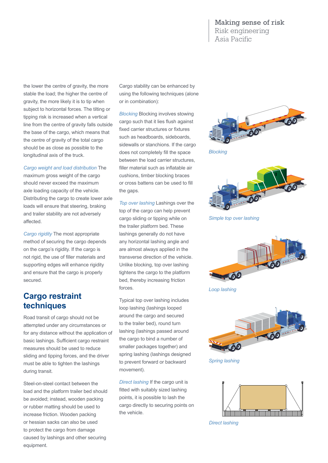### Making sense of risk Risk engineering Asia Pacific

the lower the centre of gravity, the more stable the load; the higher the centre of gravity, the more likely it is to tip when subject to horizontal forces. The tilting or tipping risk is increased when a vertical line from the centre of gravity falls outside the base of the cargo, which means that the centre of gravity of the total cargo should be as close as possible to the longitudinal axis of the truck.

*Cargo weight and load distribution* The

maximum gross weight of the cargo should never exceed the maximum axle loading capacity of the vehicle. Distributing the cargo to create lower axle loads will ensure that steering, braking and trailer stability are not adversely affected.

*Cargo rigidity* The most appropriate method of securing the cargo depends on the cargo's rigidity. If the cargo is not rigid, the use of filler materials and supporting edges will enhance rigidity and ensure that the cargo is properly secured.

## **Cargo restraint techniques**

Road transit of cargo should not be attempted under any circumstances or for any distance without the application of basic lashings. Sufficient cargo restraint measures should be used to reduce sliding and tipping forces, and the driver must be able to tighten the lashings during transit.

Steel-on-steel contact between the load and the platform trailer bed should be avoided; instead, wooden packing or rubber matting should be used to increase friction. Wooden packing or hessian sacks can also be used to protect the cargo from damage caused by lashings and other securing equipment.

Cargo stability can be enhanced by using the following techniques (alone or in combination):

*Blocking* Blocking involves stowing cargo such that it lies flush against fixed carrier structures or fixtures such as headboards, sideboards, sidewalls or stanchions. If the cargo does not completely fill the space between the load carrier structures, filler material such as inflatable air cushions, timber blocking braces or cross battens can be used to fill the gaps.

*Top over lashing* Lashings over the top of the cargo can help prevent cargo sliding or tipping while on the trailer platform bed. These lashings generally do not have any horizontal lashing angle and are almost always applied in the transverse direction of the vehicle. Unlike blocking, top over lashing tightens the cargo to the platform bed, thereby increasing friction forces.

Typical top over lashing includes loop lashing (lashings looped around the cargo and secured to the trailer bed), round turn lashing (lashings passed around the cargo to bind a number of smaller packages together) and spring lashing (lashings designed to prevent forward or backward movement).

*Direct lashing* If the cargo unit is fitted with suitably sized lashing points, it is possible to lash the cargo directly to securing points on the vehicle.



*Blocking*



*Simple top over lashing*



*Loop lashing*



*Spring lashing*



*Direct lashing*